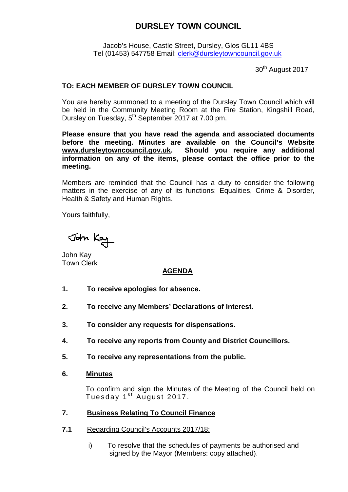Jacob's House, Castle Street, Dursley, Glos GL11 4BS Tel (01453) 547758 Email: [clerk@dursleytowncouncil.gov.uk](mailto:clerk@dursleytowncouncil.gov.uk)

30<sup>th</sup> August 2017

### **TO: EACH MEMBER OF DURSLEY TOWN COUNCIL**

You are hereby summoned to a meeting of the Dursley Town Council which will be held in the Community Meeting Room at the Fire Station, Kingshill Road, Dursley on Tuesday, 5<sup>th</sup> September 2017 at 7.00 pm.

**Please ensure that you have read the agenda and associated documents before the meeting. Minutes are available on the Council's Website [www.dursleytowncouncil.gov.uk.](http://www.dursleytowncouncil.gov.uk/) Should you require any additional information on any of the items, please contact the office prior to the meeting.** 

Members are reminded that the Council has a duty to consider the following matters in the exercise of any of its functions: Equalities, Crime & Disorder, Health & Safety and Human Rights.

Yours faithfully,

John Kay

John Kay Town Clerk

## **AGENDA**

- **1. To receive apologies for absence.**
- **2. To receive any Members' Declarations of Interest.**
- **3. To consider any requests for dispensations.**
- **4. To receive any reports from County and District Councillors.**
- **5. To receive any representations from the public.**
- **6. Minutes**

To confirm and sign the Minutes of the Meeting of the Council held on Tuesday  $1<sup>st</sup>$  August 2017.

#### **7. Business Relating To Council Finance**

- **7.1** Regarding Council's Accounts 2017/18:
	- i) To resolve that the schedules of payments be authorised and signed by the Mayor (Members: copy attached).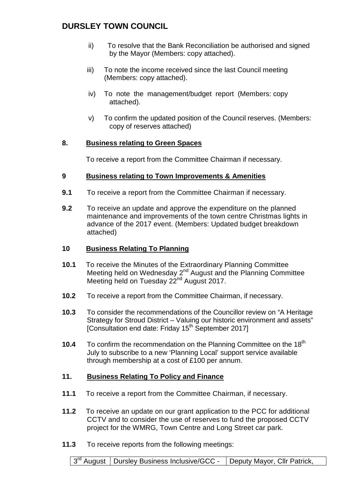- ii) To resolve that the Bank Reconciliation be authorised and signed by the Mayor (Members: copy attached).
- iii) To note the income received since the last Council meeting (Members: copy attached).
- iv) To note the management/budget report (Members: copy attached).
- v) To confirm the updated position of the Council reserves. (Members: copy of reserves attached)

### **8. Business relating to Green Spaces**

To receive a report from the Committee Chairman if necessary.

### **9 Business relating to Town Improvements & Amenities**

- **9.1** To receive a report from the Committee Chairman if necessary.
- **9.2** To receive an update and approve the expenditure on the planned maintenance and improvements of the town centre Christmas lights in advance of the 2017 event. (Members: Updated budget breakdown attached)

### **10 Business Relating To Planning**

- **10.1** To receive the Minutes of the Extraordinary Planning Committee Meeting held on Wednesday 2<sup>nd</sup> August and the Planning Committee Meeting held on Tuesday 22<sup>nd</sup> August 2017.
- **10.2** To receive a report from the Committee Chairman, if necessary.
- **10.3** To consider the recommendations of the Councillor review on "A Heritage Strategy for Stroud District – Valuing our historic environment and assets" [Consultation end date: Friday 15<sup>th</sup> September 2017]
- **10.4** To confirm the recommendation on the Planning Committee on the 18<sup>th</sup> July to subscribe to a new 'Planning Local' support service available through membership at a cost of £100 per annum.

## **11. Business Relating To Policy and Finance**

- **11.1** To receive a report from the Committee Chairman, if necessary.
- **11.2** To receive an update on our grant application to the PCC for additional CCTV and to consider the use of reserves to fund the proposed CCTV project for the WMRG, Town Centre and Long Street car park.
- **11.3** To receive reports from the following meetings:

3<sup>rd</sup> August | Dursley Business Inclusive/GCC - | Deputy Mayor, Cllr Patrick,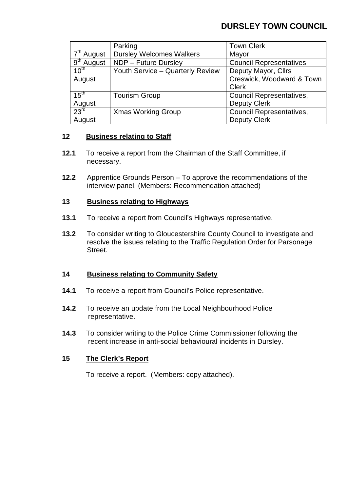|                        | Parking                          | <b>Town Clerk</b>               |
|------------------------|----------------------------------|---------------------------------|
| 7 <sup>th</sup> August | <b>Dursley Welcomes Walkers</b>  | Mayor                           |
| 9 <sup>th</sup> August | NDP - Future Dursley             | <b>Council Representatives</b>  |
| $10^{th}$              | Youth Service - Quarterly Review | Deputy Mayor, Cllrs             |
| August                 |                                  | Creswick, Woodward & Town       |
|                        |                                  | <b>Clerk</b>                    |
| 15 <sup>th</sup>       | <b>Tourism Group</b>             | <b>Council Representatives,</b> |
| August                 |                                  | <b>Deputy Clerk</b>             |
| 23 <sup>rd</sup>       | <b>Xmas Working Group</b>        | <b>Council Representatives,</b> |
| August                 |                                  | <b>Deputy Clerk</b>             |

#### **12 Business relating to Staff**

- **12.1** To receive a report from the Chairman of the Staff Committee, if necessary.
- **12.2** Apprentice Grounds Person To approve the recommendations of the interview panel. (Members: Recommendation attached)

### **13 Business relating to Highways**

- **13.1** To receive a report from Council's Highways representative.
- **13.2** To consider writing to Gloucestershire County Council to investigate and resolve the issues relating to the Traffic Regulation Order for Parsonage Street.

#### **14 Business relating to Community Safety**

- **14.1** To receive a report from Council's Police representative.
- **14.2** To receive an update from the Local Neighbourhood Police representative.
- **14.3** To consider writing to the Police Crime Commissioner following the recent increase in anti-social behavioural incidents in Dursley.

## **15 The Clerk's Report**

To receive a report. (Members: copy attached).